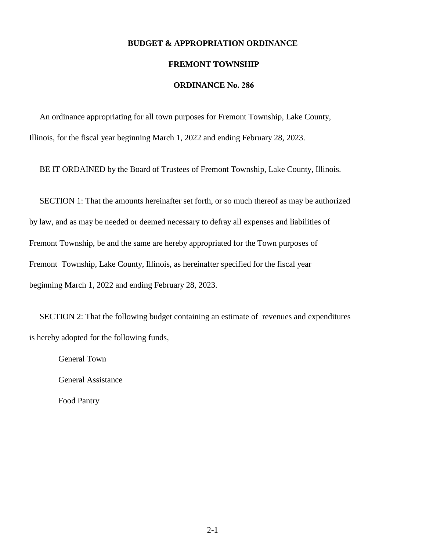### **BUDGET & APPROPRIATION ORDINANCE**

#### **FREMONT TOWNSHIP**

## **ORDINANCE No. 286**

 An ordinance appropriating for all town purposes for Fremont Township, Lake County, Illinois, for the fiscal year beginning March 1, 2022 and ending February 28, 2023.

BE IT ORDAINED by the Board of Trustees of Fremont Township, Lake County, Illinois.

 SECTION 1: That the amounts hereinafter set forth, or so much thereof as may be authorized by law, and as may be needed or deemed necessary to defray all expenses and liabilities of Fremont Township, be and the same are hereby appropriated for the Town purposes of Fremont Township, Lake County, Illinois, as hereinafter specified for the fiscal year beginning March 1, 2022 and ending February 28, 2023.

 SECTION 2: That the following budget containing an estimate of revenues and expenditures is hereby adopted for the following funds,

General Town

General Assistance

Food Pantry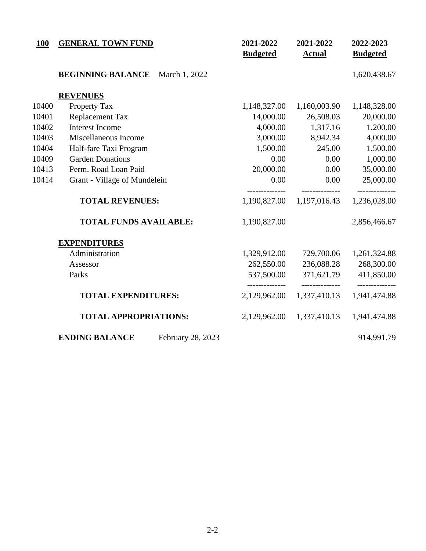| 100   | <b>GENERAL TOWN FUND</b>                   | 2021-2022<br><b>Budgeted</b> | 2021-2022<br><b>Actual</b>     | 2022-2023<br><b>Budgeted</b> |
|-------|--------------------------------------------|------------------------------|--------------------------------|------------------------------|
|       | <b>BEGINNING BALANCE</b><br>March 1, 2022  |                              |                                | 1,620,438.67                 |
|       | <b>REVENUES</b>                            |                              |                                |                              |
| 10400 | Property Tax                               | 1,148,327.00                 | 1,160,003.90                   | 1,148,328.00                 |
| 10401 | <b>Replacement Tax</b>                     | 14,000.00                    | 26,508.03                      | 20,000.00                    |
| 10402 | <b>Interest Income</b>                     | 4,000.00                     | 1,317.16                       | 1,200.00                     |
| 10403 | Miscellaneous Income                       | 3,000.00                     | 8,942.34                       | 4,000.00                     |
| 10404 | Half-fare Taxi Program                     | 1,500.00                     | 245.00                         | 1,500.00                     |
| 10409 | <b>Garden Donations</b>                    | 0.00                         | 0.00                           | 1,000.00                     |
| 10413 | Perm. Road Loan Paid                       | 20,000.00                    | 0.00                           | 35,000.00                    |
| 10414 | Grant - Village of Mundelein               | 0.00                         | 0.00                           | 25,000.00                    |
|       | <b>TOTAL REVENUES:</b>                     | 1,190,827.00                 | 1,197,016.43                   | ------------<br>1,236,028.00 |
|       | <b>TOTAL FUNDS AVAILABLE:</b>              | 1,190,827.00                 |                                | 2,856,466.67                 |
|       | <b>EXPENDITURES</b>                        |                              |                                |                              |
|       | Administration                             | 1,329,912.00                 | 729,700.06                     | 1,261,324.88                 |
|       | Assessor                                   | 262,550.00                   | 236,088.28                     | 268,300.00                   |
|       | Parks                                      | 537,500.00                   | 371,621.79                     | 411,850.00                   |
|       | <b>TOTAL EXPENDITURES:</b>                 | 2,129,962.00                 | --------------<br>1,337,410.13 | 1,941,474.88                 |
|       | <b>TOTAL APPROPRIATIONS:</b>               | 2,129,962.00                 | 1,337,410.13                   | 1,941,474.88                 |
|       | <b>ENDING BALANCE</b><br>February 28, 2023 |                              |                                | 914,991.79                   |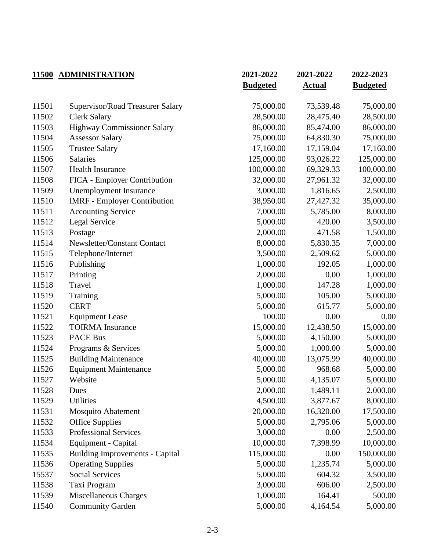|       | 11500 ADMINISTRATION                   | 2021-2022       | 2021-2022     | 2022-2023       |
|-------|----------------------------------------|-----------------|---------------|-----------------|
|       |                                        | <b>Budgeted</b> | <b>Actual</b> | <b>Budgeted</b> |
| 11501 | Supervisor/Road Treasurer Salary       | 75,000.00       | 73,539.48     | 75,000.00       |
| 11502 | <b>Clerk Salary</b>                    | 28,500.00       | 28,475.40     | 28,500.00       |
| 11503 | <b>Highway Commissioner Salary</b>     | 86,000.00       | 85,474.00     | 86,000.00       |
| 11504 | <b>Assessor Salary</b>                 | 75,000.00       | 64,830.30     | 75,000.00       |
| 11505 | <b>Trustee Salary</b>                  | 17,160.00       | 17,159.04     | 17,160.00       |
| 11506 | <b>Salaries</b>                        | 125,000.00      | 93,026.22     | 125,000.00      |
| 11507 | <b>Health Insurance</b>                | 100,000.00      | 69,329.33     | 100,000.00      |
| 11508 | FICA - Employer Contribution           | 32,000.00       | 27,961.32     | 32,000.00       |
| 11509 | <b>Unemployment Insurance</b>          | 3,000.00        | 1,816.65      | 2,500.00        |
| 11510 | <b>IMRF</b> - Employer Contribution    | 38,950.00       | 27,427.32     | 35,000.00       |
| 11511 | <b>Accounting Service</b>              | 7,000.00        | 5,785.00      | 8,000.00        |
| 11512 | Legal Service                          | 5,000.00        | 420.00        | 3,500.00        |
| 11513 | Postage                                | 2,000.00        | 471.58        | 1,500.00        |
| 11514 | Newsletter/Constant Contact            | 8,000.00        | 5,830.35      | 7,000.00        |
| 11515 | Telephone/Internet                     | 3,500.00        | 2,509.62      | 5,000.00        |
| 11516 | Publishing                             | 1,000.00        | 192.05        | 1,000.00        |
| 11517 | Printing                               | 2,000.00        | 0.00          | 1,000.00        |
| 11518 | Travel                                 | 1,000.00        | 147.28        | 1,000.00        |
| 11519 | Training                               | 5,000.00        | 105.00        | 5,000.00        |
| 11520 | <b>CERT</b>                            | 5,000.00        | 615.77        | 5,000.00        |
| 11521 | <b>Equipment Lease</b>                 | 100.00          | 0.00          | 0.00            |
| 11522 | <b>TOIRMA</b> Insurance                | 15,000.00       | 12,438.50     | 15,000.00       |
| 11523 | <b>PACE Bus</b>                        | 5,000.00        | 4,150.00      | 5,000.00        |
| 11524 | Programs & Services                    | 5,000.00        | 1,000.00      | 5,000.00        |
| 11525 | <b>Building Maintenance</b>            | 40,000.00       | 13,075.99     | 40,000.00       |
| 11526 | <b>Equipment Maintenance</b>           | 5,000.00        | 968.68        | 5,000.00        |
| 11527 | Website                                | 5,000.00        | 4,135.07      | 5,000.00        |
| 11528 | Dues                                   | 2,000.00        | 1,489.11      | 2,000.00        |
| 11529 | <b>Utilities</b>                       | 4,500.00        | 3,877.67      | 8,000.00        |
| 11531 | <b>Mosquito Abatement</b>              | 20,000.00       | 16,320.00     | 17,500.00       |
| 11532 | <b>Office Supplies</b>                 | 5,000.00        | 2,795.06      | 5,000.00        |
| 11533 | <b>Professional Services</b>           | 3,000.00        | 0.00          | 2,500.00        |
| 11534 | Equipment - Capital                    | 10,000.00       | 7,398.99      | 10,000.00       |
| 11535 | <b>Building Improvements - Capital</b> | 115,000.00      | 0.00          | 150,000.00      |
| 11536 | <b>Operating Supplies</b>              | 5,000.00        | 1,235.74      | 5,000.00        |
| 15537 | <b>Social Services</b>                 | 5,000.00        | 604.32        | 3,500.00        |
| 11538 | Taxi Program                           | 3,000.00        | 606.00        | 2,500.00        |
| 11539 | Miscellaneous Charges                  | 1,000.00        | 164.41        | 500.00          |
| 11540 | <b>Community Garden</b>                | 5,000.00        | 4,164.54      | 5,000.00        |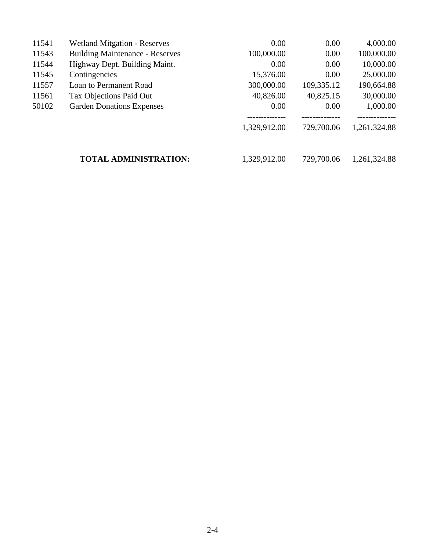| 11541 | <b>Wetland Mitgation - Reserves</b>    | 0.00         | 0.00       | 4,000.00                    |
|-------|----------------------------------------|--------------|------------|-----------------------------|
| 11543 | <b>Building Maintenance - Reserves</b> | 100,000.00   | 0.00       | 100,000.00                  |
| 11544 | Highway Dept. Building Maint.          | 0.00         | 0.00       | 10,000.00                   |
| 11545 | Contingencies                          | 15,376.00    | 0.00       | 25,000.00                   |
| 11557 | Loan to Permanent Road                 | 300,000.00   | 109,335.12 | 190,664.88                  |
| 11561 | Tax Objections Paid Out                | 40,826.00    | 40,825.15  | 30,000.00                   |
| 50102 | <b>Garden Donations Expenses</b>       | 0.00         | 0.00       | 1,000.00                    |
|       |                                        | 1,329,912.00 | 729,700.06 | -----------<br>1,261,324.88 |
|       | <b>TOTAL ADMINISTRATION:</b>           | 1,329,912.00 | 729,700.06 | 1,261,324.88                |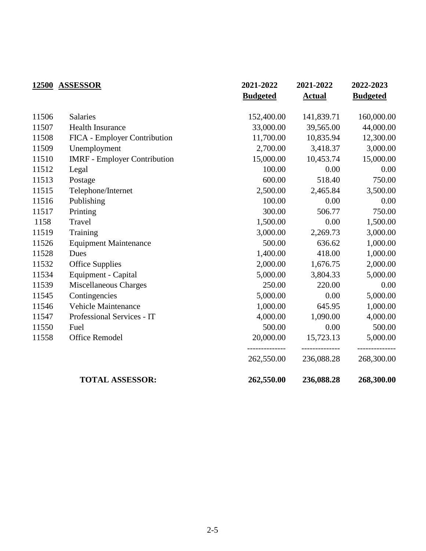|       | 12500 ASSESSOR                      | 2021-2022       | 2021-2022                    | 2022-2023                    |
|-------|-------------------------------------|-----------------|------------------------------|------------------------------|
|       |                                     | <b>Budgeted</b> | <b>Actual</b>                | <b>Budgeted</b>              |
| 11506 | <b>Salaries</b>                     | 152,400.00      | 141,839.71                   | 160,000.00                   |
| 11507 | Health Insurance                    | 33,000.00       | 39,565.00                    | 44,000.00                    |
| 11508 | FICA - Employer Contribution        | 11,700.00       | 10,835.94                    | 12,300.00                    |
| 11509 | Unemployment                        | 2,700.00        | 3,418.37                     | 3,000.00                     |
| 11510 | <b>IMRF</b> - Employer Contribution | 15,000.00       | 10,453.74                    | 15,000.00                    |
| 11512 | Legal                               | 100.00          | 0.00                         | 0.00                         |
| 11513 | Postage                             | 600.00          | 518.40                       | 750.00                       |
| 11515 | Telephone/Internet                  | 2,500.00        | 2,465.84                     | 3,500.00                     |
| 11516 | Publishing                          | 100.00          | 0.00                         | 0.00                         |
| 11517 | Printing                            | 300.00          | 506.77                       | 750.00                       |
| 1158  | Travel                              | 1,500.00        | 0.00                         | 1,500.00                     |
| 11519 | Training                            | 3,000.00        | 2,269.73                     | 3,000.00                     |
| 11526 | <b>Equipment Maintenance</b>        | 500.00          | 636.62                       | 1,000.00                     |
| 11528 | Dues                                | 1,400.00        | 418.00                       | 1,000.00                     |
| 11532 | <b>Office Supplies</b>              | 2,000.00        | 1,676.75                     | 2,000.00                     |
| 11534 | Equipment - Capital                 | 5,000.00        | 3,804.33                     | 5,000.00                     |
| 11539 | Miscellaneous Charges               | 250.00          | 220.00                       | 0.00                         |
| 11545 | Contingencies                       | 5,000.00        | 0.00                         | 5,000.00                     |
| 11546 | <b>Vehicle Maintenance</b>          | 1,000.00        | 645.95                       | 1,000.00                     |
| 11547 | Professional Services - IT          | 4,000.00        | 1,090.00                     | 4,000.00                     |
| 11550 | Fuel                                | 500.00          | 0.00                         | 500.00                       |
| 11558 | <b>Office Remodel</b>               | 20,000.00       | 15,723.13                    | 5,000.00                     |
|       |                                     | 262,550.00      | --------------<br>236,088.28 | --------------<br>268,300.00 |
|       | <b>TOTAL ASSESSOR:</b>              | 262,550.00      | 236,088.28                   | 268,300.00                   |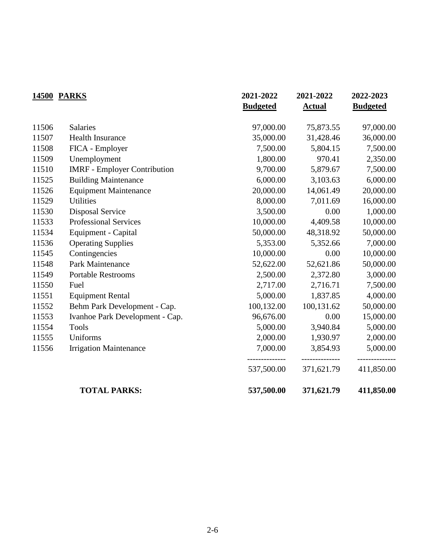|       | <b>14500 PARKS</b>                  | 2021-2022<br><b>Budgeted</b> | 2021-2022<br><b>Actual</b>   | 2022-2023<br><b>Budgeted</b> |
|-------|-------------------------------------|------------------------------|------------------------------|------------------------------|
|       |                                     |                              |                              |                              |
| 11506 | <b>Salaries</b>                     | 97,000.00                    | 75,873.55                    | 97,000.00                    |
| 11507 | <b>Health Insurance</b>             | 35,000.00                    | 31,428.46                    | 36,000.00                    |
| 11508 | FICA - Employer                     | 7,500.00                     | 5,804.15                     | 7,500.00                     |
| 11509 | Unemployment                        | 1,800.00                     | 970.41                       | 2,350.00                     |
| 11510 | <b>IMRF</b> - Employer Contribution | 9,700.00                     | 5,879.67                     | 7,500.00                     |
| 11525 | <b>Building Maintenance</b>         | 6,000.00                     | 3,103.63                     | 6,000.00                     |
| 11526 | <b>Equipment Maintenance</b>        | 20,000.00                    | 14,061.49                    | 20,000.00                    |
| 11529 | <b>Utilities</b>                    | 8,000.00                     | 7,011.69                     | 16,000.00                    |
| 11530 | <b>Disposal Service</b>             | 3,500.00                     | 0.00                         | 1,000.00                     |
| 11533 | <b>Professional Services</b>        | 10,000.00                    | 4,409.58                     | 10,000.00                    |
| 11534 | Equipment - Capital                 | 50,000.00                    | 48,318.92                    | 50,000.00                    |
| 11536 | <b>Operating Supplies</b>           | 5,353.00                     | 5,352.66                     | 7,000.00                     |
| 11545 | Contingencies                       | 10,000.00                    | 0.00                         | 10,000.00                    |
| 11548 | Park Maintenance                    | 52,622.00                    | 52,621.86                    | 50,000.00                    |
| 11549 | <b>Portable Restrooms</b>           | 2,500.00                     | 2,372.80                     | 3,000.00                     |
| 11550 | Fuel                                | 2,717.00                     | 2,716.71                     | 7,500.00                     |
| 11551 | <b>Equipment Rental</b>             | 5,000.00                     | 1,837.85                     | 4,000.00                     |
| 11552 | Behm Park Development - Cap.        | 100,132.00                   | 100,131.62                   | 50,000.00                    |
| 11553 | Ivanhoe Park Development - Cap.     | 96,676.00                    | 0.00                         | 15,000.00                    |
| 11554 | <b>Tools</b>                        | 5,000.00                     | 3,940.84                     | 5,000.00                     |
| 11555 | Uniforms                            | 2,000.00                     | 1,930.97                     | 2,000.00                     |
| 11556 | <b>Irrigation Maintenance</b>       | 7,000.00                     | 3,854.93                     | 5,000.00                     |
|       |                                     | 537,500.00                   | --------------<br>371,621.79 | 411,850.00                   |
|       | <b>TOTAL PARKS:</b>                 | 537,500.00                   | 371,621.79                   | 411,850.00                   |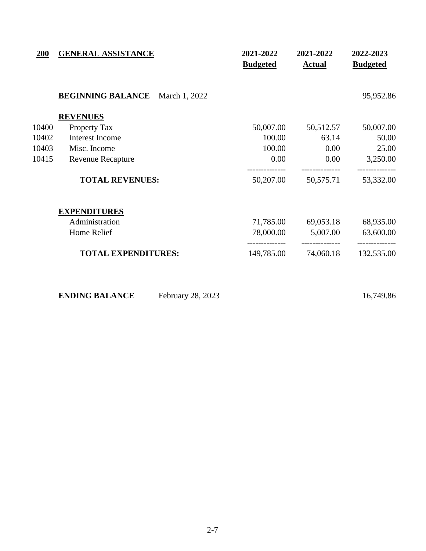| <b>200</b> | <b>GENERAL ASSISTANCE</b>                 | 2021-2022<br><b>Budgeted</b> | 2021-2022<br><b>Actual</b> | 2022-2023<br><b>Budgeted</b> |
|------------|-------------------------------------------|------------------------------|----------------------------|------------------------------|
|            | <b>BEGINNING BALANCE</b><br>March 1, 2022 |                              |                            | 95,952.86                    |
|            | <b>REVENUES</b>                           |                              |                            |                              |
| 10400      | Property Tax                              | 50,007.00                    | 50,512.57                  | 50,007.00                    |
| 10402      | Interest Income                           | 100.00                       | 63.14                      | 50.00                        |
| 10403      | Misc. Income                              | 100.00                       | 0.00                       | 25.00                        |
| 10415      | <b>Revenue Recapture</b>                  | 0.00                         | 0.00                       | 3,250.00                     |
|            | <b>TOTAL REVENUES:</b>                    | 50,207.00                    | 50,575.71                  | 53,332.00                    |
|            | <b>EXPENDITURES</b>                       |                              |                            |                              |
|            | Administration                            | 71,785.00                    | 69,053.18                  | 68,935.00                    |
|            | Home Relief                               | 78,000.00                    | 5,007.00                   | 63,600.00                    |
|            | <b>TOTAL EXPENDITURES:</b>                | 149,785.00                   | 74,060.18                  | 132,535.00                   |

| <b>ENDING BALANCE</b> | February 28, 2023 |
|-----------------------|-------------------|
|-----------------------|-------------------|

**ENDING BALANCE** February 28, 2023 16,749.86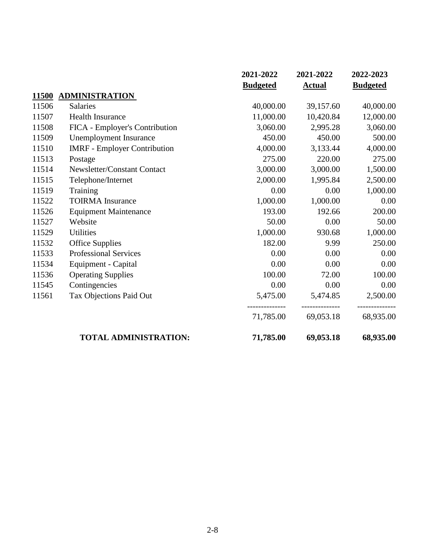|              |                                     | 2021-2022       | 2021-2022     | 2022-2023       |
|--------------|-------------------------------------|-----------------|---------------|-----------------|
|              |                                     | <b>Budgeted</b> | <b>Actual</b> | <b>Budgeted</b> |
| <b>11500</b> | <b>ADMINISTRATION</b>               |                 |               |                 |
| 11506        | <b>Salaries</b>                     | 40,000.00       | 39,157.60     | 40,000.00       |
| 11507        | <b>Health Insurance</b>             | 11,000.00       | 10,420.84     | 12,000.00       |
| 11508        | FICA - Employer's Contribution      | 3,060.00        | 2,995.28      | 3,060.00        |
| 11509        | <b>Unemployment Insurance</b>       | 450.00          | 450.00        | 500.00          |
| 11510        | <b>IMRF</b> - Employer Contribution | 4,000.00        | 3,133.44      | 4,000.00        |
| 11513        | Postage                             | 275.00          | 220.00        | 275.00          |
| 11514        | Newsletter/Constant Contact         | 3,000.00        | 3,000.00      | 1,500.00        |
| 11515        | Telephone/Internet                  | 2,000.00        | 1,995.84      | 2,500.00        |
| 11519        | Training                            | 0.00            | 0.00          | 1,000.00        |
| 11522        | <b>TOIRMA</b> Insurance             | 1,000.00        | 1,000.00      | 0.00            |
| 11526        | <b>Equipment Maintenance</b>        | 193.00          | 192.66        | 200.00          |
| 11527        | Website                             | 50.00           | 0.00          | 50.00           |
| 11529        | <b>Utilities</b>                    | 1,000.00        | 930.68        | 1,000.00        |
| 11532        | <b>Office Supplies</b>              | 182.00          | 9.99          | 250.00          |
| 11533        | Professional Services               | 0.00            | 0.00          | 0.00            |
| 11534        | Equipment - Capital                 | 0.00            | 0.00          | 0.00            |
| 11536        | <b>Operating Supplies</b>           | 100.00          | 72.00         | 100.00          |
| 11545        | Contingencies                       | 0.00            | 0.00          | 0.00            |
| 11561        | Tax Objections Paid Out             | 5,475.00        | 5,474.85      | 2,500.00        |
|              |                                     | 71,785.00       | 69,053.18     | 68,935.00       |
|              | <b>TOTAL ADMINISTRATION:</b>        | 71,785.00       | 69,053.18     | 68,935.00       |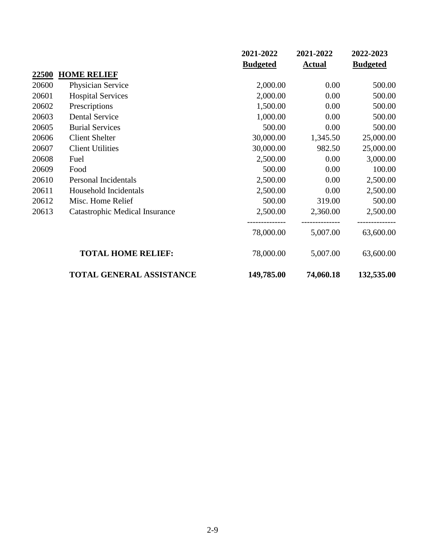|              |                                       | 2021-2022       | 2021-2022     | 2022-2023       |
|--------------|---------------------------------------|-----------------|---------------|-----------------|
|              |                                       | <b>Budgeted</b> | <b>Actual</b> | <b>Budgeted</b> |
| <u>22500</u> | <b>HOME RELIEF</b>                    |                 |               |                 |
| 20600        | Physician Service                     | 2,000.00        | 0.00          | 500.00          |
| 20601        | <b>Hospital Services</b>              | 2,000.00        | 0.00          | 500.00          |
| 20602        | Prescriptions                         | 1,500.00        | 0.00          | 500.00          |
| 20603        | <b>Dental Service</b>                 | 1,000.00        | 0.00          | 500.00          |
| 20605        | <b>Burial Services</b>                | 500.00          | 0.00          | 500.00          |
| 20606        | <b>Client Shelter</b>                 | 30,000.00       | 1,345.50      | 25,000.00       |
| 20607        | <b>Client Utilities</b>               | 30,000.00       | 982.50        | 25,000.00       |
| 20608        | Fuel                                  | 2,500.00        | 0.00          | 3,000.00        |
| 20609        | Food                                  | 500.00          | 0.00          | 100.00          |
| 20610        | Personal Incidentals                  | 2,500.00        | 0.00          | 2,500.00        |
| 20611        | Household Incidentals                 | 2,500.00        | 0.00          | 2,500.00        |
| 20612        | Misc. Home Relief                     | 500.00          | 319.00        | 500.00          |
| 20613        | <b>Catastrophic Medical Insurance</b> | 2,500.00        | 2,360.00      | 2,500.00        |
|              |                                       | 78,000.00       | 5,007.00      | 63,600.00       |
|              | <b>TOTAL HOME RELIEF:</b>             | 78,000.00       | 5,007.00      | 63,600.00       |
|              | TOTAL GENERAL ASSISTANCE              | 149,785.00      | 74,060.18     | 132,535.00      |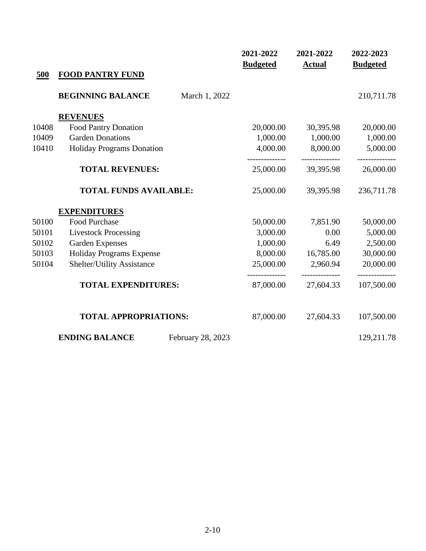|       |                                            | 2021-2022<br><b>Budgeted</b> | 2021-2022<br><b>Actual</b>  | 2022-2023<br><b>Budgeted</b> |
|-------|--------------------------------------------|------------------------------|-----------------------------|------------------------------|
| 500   | <b>FOOD PANTRY FUND</b>                    |                              |                             |                              |
|       | <b>BEGINNING BALANCE</b><br>March 1, 2022  |                              |                             | 210,711.78                   |
|       | <b>REVENUES</b>                            |                              |                             |                              |
| 10408 | Food Pantry Donation                       | 20,000.00                    | 30,395.98                   | 20,000.00                    |
| 10409 | <b>Garden Donations</b>                    | 1,000.00                     | 1,000.00                    | 1,000.00                     |
| 10410 | <b>Holiday Programs Donation</b>           | 4,000.00                     | 8,000.00                    | 5,000.00                     |
|       | <b>TOTAL REVENUES:</b>                     | 25,000.00                    | 39,395.98                   | 26,000.00                    |
|       | <b>TOTAL FUNDS AVAILABLE:</b>              | 25,000.00                    | 39,395.98                   | 236,711.78                   |
|       | <b>EXPENDITURES</b>                        |                              |                             |                              |
| 50100 | Food Purchase                              | 50,000.00                    | 7,851.90                    | 50,000.00                    |
| 50101 | <b>Livestock Processing</b>                | 3,000.00                     | 0.00                        | 5,000.00                     |
| 50102 | <b>Garden Expenses</b>                     | 1,000.00                     | 6.49                        | 2,500.00                     |
| 50103 | Holiday Programs Expense                   | 8,000.00                     | 16,785.00                   | 30,000.00                    |
| 50104 | <b>Shelter/Utility Assistance</b>          | 25,000.00                    | 2,960.94                    | 20,000.00                    |
|       | <b>TOTAL EXPENDITURES:</b>                 | -------------<br>87,000.00   | --------------<br>27,604.33 | --------------<br>107,500.00 |
|       | <b>TOTAL APPROPRIATIONS:</b>               | 87,000.00                    | 27,604.33                   | 107,500.00                   |
|       | <b>ENDING BALANCE</b><br>February 28, 2023 |                              |                             | 129,211.78                   |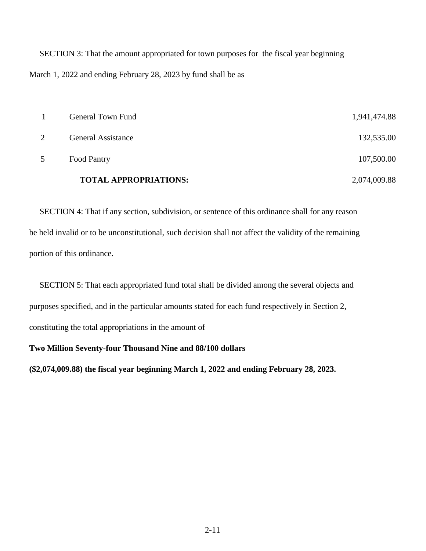SECTION 3: That the amount appropriated for town purposes for the fiscal year beginning March 1, 2022 and ending February 28, 2023 by fund shall be as

| 5 | Food Pantry                  | 107,500.00   |
|---|------------------------------|--------------|
|   |                              |              |
|   | <b>TOTAL APPROPRIATIONS:</b> | 2,074,009.88 |

 SECTION 4: That if any section, subdivision, or sentence of this ordinance shall for any reason be held invalid or to be unconstitutional, such decision shall not affect the validity of the remaining portion of this ordinance.

 SECTION 5: That each appropriated fund total shall be divided among the several objects and purposes specified, and in the particular amounts stated for each fund respectively in Section 2, constituting the total appropriations in the amount of

**Two Million Seventy-four Thousand Nine and 88/100 dollars**

**(\$2,074,009.88) the fiscal year beginning March 1, 2022 and ending February 28, 2023.**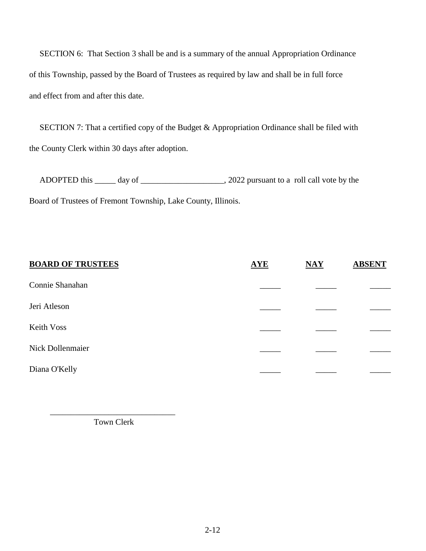SECTION 6: That Section 3 shall be and is a summary of the annual Appropriation Ordinance of this Township, passed by the Board of Trustees as required by law and shall be in full force and effect from and after this date.

SECTION 7: That a certified copy of the Budget & Appropriation Ordinance shall be filed with the County Clerk within 30 days after adoption.

ADOPTED this \_\_\_\_\_ day of \_\_\_\_\_\_\_\_\_\_\_\_\_\_\_\_\_\_\_\_, 2022 pursuant to a roll call vote by the Board of Trustees of Fremont Township, Lake County, Illinois.

| <b>BOARD OF TRUSTEES</b> | <b>AYE</b> | $\overline{\text{MAX}}$ | <b>ABSENT</b> |
|--------------------------|------------|-------------------------|---------------|
| Connie Shanahan          |            |                         |               |
| Jeri Atleson             |            |                         |               |
| Keith Voss               |            |                         |               |
| Nick Dollenmaier         |            |                         |               |
| Diana O'Kelly            |            |                         |               |

Town Clerk

 $\frac{1}{2}$  ,  $\frac{1}{2}$  ,  $\frac{1}{2}$  ,  $\frac{1}{2}$  ,  $\frac{1}{2}$  ,  $\frac{1}{2}$  ,  $\frac{1}{2}$  ,  $\frac{1}{2}$  ,  $\frac{1}{2}$  ,  $\frac{1}{2}$  ,  $\frac{1}{2}$  ,  $\frac{1}{2}$  ,  $\frac{1}{2}$  ,  $\frac{1}{2}$  ,  $\frac{1}{2}$  ,  $\frac{1}{2}$  ,  $\frac{1}{2}$  ,  $\frac{1}{2}$  ,  $\frac{1$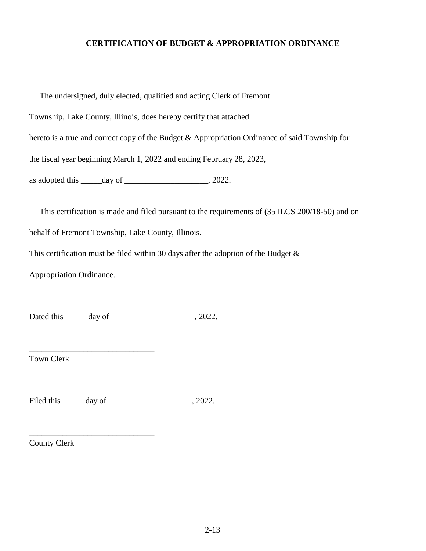# **CERTIFICATION OF BUDGET & APPROPRIATION ORDINANCE**

 The undersigned, duly elected, qualified and acting Clerk of Fremont Township, Lake County, Illinois, does hereby certify that attached hereto is a true and correct copy of the Budget & Appropriation Ordinance of said Township for the fiscal year beginning March 1, 2022 and ending February 28, 2023, as adopted this  $\_\_\_\_\_\_\_\_\_\_\_\_\_\_\_\_\_$ .

 This certification is made and filed pursuant to the requirements of (35 ILCS 200/18-50) and on behalf of Fremont Township, Lake County, Illinois.

This certification must be filed within 30 days after the adoption of the Budget  $\&$ 

Appropriation Ordinance.

\_\_\_\_\_\_\_\_\_\_\_\_\_\_\_\_\_\_\_\_\_\_\_\_\_\_\_\_\_\_

\_\_\_\_\_\_\_\_\_\_\_\_\_\_\_\_\_\_\_\_\_\_\_\_\_\_\_\_\_\_

Dated this day of 3022.

Town Clerk

Filed this \_\_\_\_\_\_ day of \_\_\_\_\_\_\_\_\_\_\_\_\_\_\_\_\_\_\_\_\_\_, 2022.

County Clerk